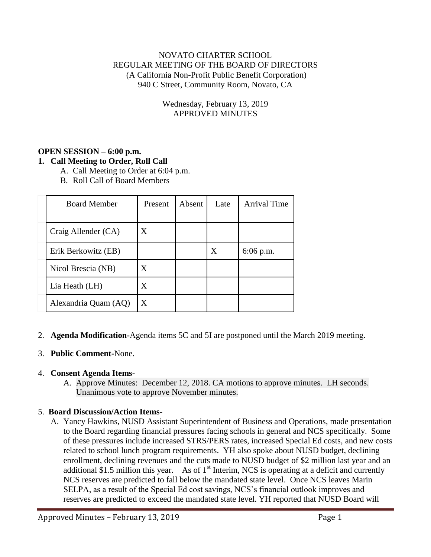## NOVATO CHARTER SCHOOL REGULAR MEETING OF THE BOARD OF DIRECTORS (A California Non-Profit Public Benefit Corporation) 940 C Street, Community Room, Novato, CA

## Wednesday, February 13, 2019 APPROVED MINUTES

#### **OPEN SESSION – 6:00 p.m. 1. Call Meeting to Order, Roll Call**

- A. Call Meeting to Order at 6:04 p.m.
	- B. Roll Call of Board Members

| <b>Board Member</b>  | Present | <b>Absent</b> | Late | <b>Arrival Time</b> |
|----------------------|---------|---------------|------|---------------------|
| Craig Allender (CA)  | X       |               |      |                     |
| Erik Berkowitz (EB)  |         |               | X    | $6:06$ p.m.         |
| Nicol Brescia (NB)   | X       |               |      |                     |
| Lia Heath (LH)       | X       |               |      |                     |
| Alexandria Quam (AQ) | X       |               |      |                     |

2. **Agenda Modification-**Agenda items 5C and 5I are postponed until the March 2019 meeting.

## 3. **Public Comment-**None.

#### 4. **Consent Agenda Items-**

A. Approve Minutes: December 12, 2018. CA motions to approve minutes. LH seconds. Unanimous vote to approve November minutes.

## 5. **Board Discussion/Action Items-**

A. Yancy Hawkins, NUSD Assistant Superintendent of Business and Operations, made presentation to the Board regarding financial pressures facing schools in general and NCS specifically. Some of these pressures include increased STRS/PERS rates, increased Special Ed costs, and new costs related to school lunch program requirements. YH also spoke about NUSD budget, declining enrollment, declining revenues and the cuts made to NUSD budget of \$2 million last year and an additional \$1.5 million this year. As of  $1<sup>st</sup>$  Interim, NCS is operating at a deficit and currently NCS reserves are predicted to fall below the mandated state level. Once NCS leaves Marin SELPA, as a result of the Special Ed cost savings, NCS's financial outlook improves and reserves are predicted to exceed the mandated state level. YH reported that NUSD Board will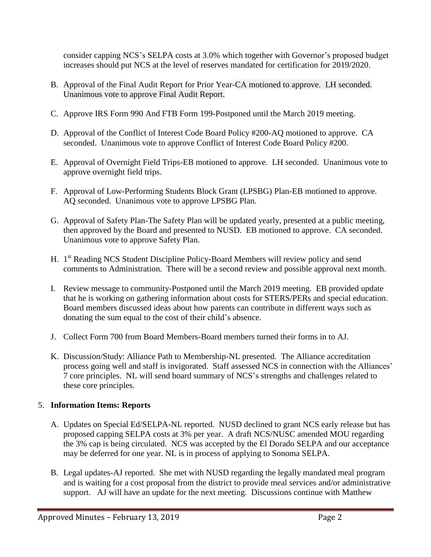consider capping NCS's SELPA costs at 3.0% which together with Governor's proposed budget increases should put NCS at the level of reserves mandated for certification for 2019/2020.

- B. Approval of the Final Audit Report for Prior Year-CA motioned to approve. LH seconded. Unanimous vote to approve Final Audit Report.
- C. Approve IRS Form 990 And FTB Form 199-Postponed until the March 2019 meeting.
- D. Approval of the Conflict of Interest Code Board Policy #200-AQ motioned to approve. CA seconded. Unanimous vote to approve Conflict of Interest Code Board Policy #200.
- E. Approval of Overnight Field Trips-EB motioned to approve. LH seconded. Unanimous vote to approve overnight field trips.
- F. Approval of Low-Performing Students Block Grant (LPSBG) Plan-EB motioned to approve. AQ seconded. Unanimous vote to approve LPSBG Plan.
- G. Approval of Safety Plan-The Safety Plan will be updated yearly, presented at a public meeting, then approved by the Board and presented to NUSD. EB motioned to approve. CA seconded. Unanimous vote to approve Safety Plan.
- H. 1<sup>st</sup> Reading NCS Student Discipline Policy-Board Members will review policy and send comments to Administration. There will be a second review and possible approval next month.
- I. Review message to community-Postponed until the March 2019 meeting. EB provided update that he is working on gathering information about costs for STERS/PERs and special education. Board members discussed ideas about how parents can contribute in different ways such as donating the sum equal to the cost of their child's absence.
- J. Collect Form 700 from Board Members-Board members turned their forms in to AJ.
- K. Discussion/Study: Alliance Path to Membership-NL presented. The Alliance accreditation process going well and staff is invigorated. Staff assessed NCS in connection with the Alliances' 7 core principles. NL will send board summary of NCS's strengths and challenges related to these core principles.

# 5. **Information Items: Reports**

- A. Updates on Special Ed/SELPA-NL reported. NUSD declined to grant NCS early release but has proposed capping SELPA costs at 3% per year. A draft NCS/NUSC amended MOU regarding the 3% cap is being circulated. NCS was accepted by the El Dorado SELPA and our acceptance may be deferred for one year. NL is in process of applying to Sonoma SELPA.
- B. Legal updates-AJ reported. She met with NUSD regarding the legally mandated meal program and is waiting for a cost proposal from the district to provide meal services and/or administrative support. AJ will have an update for the next meeting. Discussions continue with Matthew